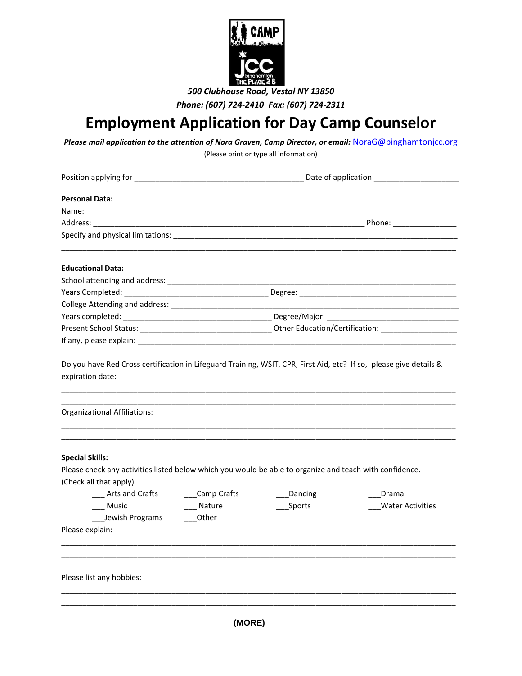

*Phone: (607) 724-2410 Fax: (607) 724-2311*

## **Employment Application for Day Camp Counselor**

*Please mail application to the attention of Nora Graven, Camp Director, or email:* [NoraG@binghamtonjcc.org](mailto:NoraG@binghamtonjcc.org)

(Please print or type all information)

| <b>Personal Data:</b>                                                                                                                                                                                                         |                                   |                   |                                  |  |
|-------------------------------------------------------------------------------------------------------------------------------------------------------------------------------------------------------------------------------|-----------------------------------|-------------------|----------------------------------|--|
|                                                                                                                                                                                                                               |                                   |                   |                                  |  |
|                                                                                                                                                                                                                               |                                   |                   |                                  |  |
|                                                                                                                                                                                                                               |                                   |                   |                                  |  |
| <b>Educational Data:</b>                                                                                                                                                                                                      |                                   |                   |                                  |  |
|                                                                                                                                                                                                                               |                                   |                   |                                  |  |
|                                                                                                                                                                                                                               |                                   |                   |                                  |  |
|                                                                                                                                                                                                                               |                                   |                   |                                  |  |
|                                                                                                                                                                                                                               |                                   |                   |                                  |  |
|                                                                                                                                                                                                                               |                                   |                   |                                  |  |
|                                                                                                                                                                                                                               |                                   |                   |                                  |  |
| Organizational Affiliations:                                                                                                                                                                                                  |                                   |                   |                                  |  |
| <b>Special Skills:</b><br>Please check any activities listed below which you would be able to organize and teach with confidence.<br>(Check all that apply)<br>Arts and Crafts<br>Music<br>Jewish Programs<br>Please explain: | ___Camp Crafts<br>Nature<br>Other | Dancing<br>Sports | Drama<br><b>Water Activities</b> |  |
| Please list any hobbies:                                                                                                                                                                                                      |                                   |                   |                                  |  |